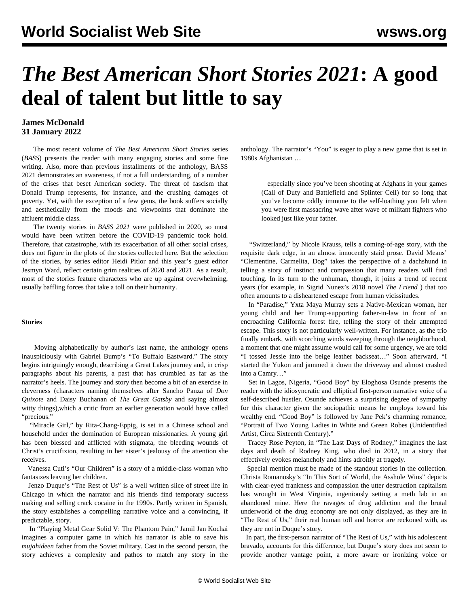## *The Best American Short Stories 2021***: A good deal of talent but little to say**

## **James McDonald 31 January 2022**

 The most recent volume of *The Best American Short Stories* series (*BASS*) presents the reader with many engaging stories and some fine writing. Also, more than previous installments of the anthology, BASS 2021 demonstrates an awareness, if not a full understanding, of a number of the crises that beset American society. The threat of fascism that Donald Trump represents, for instance, and the crushing damages of poverty. Yet, with the exception of a few gems, the book suffers socially and aesthetically from the moods and viewpoints that dominate the affluent middle class.

 The twenty stories in *BASS 2021* were published in 2020, so most would have been written before the COVID-19 pandemic took hold. Therefore, that catastrophe, with its exacerbation of all other social crises, does not figure in the plots of the stories collected here. But the selection of the stories, by series editor Heidi Pitlor and this year's guest editor Jesmyn Ward, reflect certain grim realities of 2020 and 2021. As a result, most of the stories feature characters who are up against overwhelming, usually baffling forces that take a toll on their humanity.

## **Stories**

 Moving alphabetically by author's last name, the anthology opens inauspiciously with Gabriel Bump's "To Buffalo Eastward." The story begins intriguingly enough, describing a Great Lakes journey and, in crisp paragraphs about his parents, a past that has crumbled as far as the narrator's heels. The journey and story then become a bit of an exercise in cleverness (characters naming themselves after Sancho Panza of *Don Quixote* and Daisy Buchanan of *The Great Gatsby* and saying almost witty things),which a critic from an earlier generation would have called "precious."

 "Miracle Girl," by Rita-Chang-Eppig, is set in a Chinese school and household under the domination of European missionaries. A young girl has been blessed and afflicted with stigmata, the bleeding wounds of Christ's crucifixion, resulting in her sister's jealousy of the attention she receives.

 Vanessa Cuti's "Our Children" is a story of a middle-class woman who fantasizes leaving her children.

 Jenzo Duque's "The Rest of Us" is a well written slice of street life in Chicago in which the narrator and his friends find temporary success making and selling crack cocaine in the 1990s. Partly written in Spanish, the story establishes a compelling narrative voice and a convincing, if predictable, story.

 In "Playing Metal Gear Solid V: The Phantom Pain," Jamil Jan Kochai imagines a computer game in which his narrator is able to save his *mujahideen* father from the Soviet military. Cast in the second person, the story achieves a complexity and pathos to match any story in the anthology. The narrator's "You" is eager to play a new game that is set in 1980s Afghanistan …

 especially since you've been shooting at Afghans in your games (Call of Duty and Battlefield and Splinter Cell) for so long that you've become oddly immune to the self-loathing you felt when you were first massacring wave after wave of militant fighters who looked just like your father.

 "Switzerland," by Nicole Krauss, tells a coming-of-age story, with the requisite dark edge, in an almost innocently staid prose. David Means' "Clementine, Carmelita, Dog" takes the perspective of a dachshund in telling a story of instinct and compassion that many readers will find touching. In its turn to the unhuman, though, it joins a trend of recent years (for example, in Sigrid Nunez's 2018 novel *The Friend* ) that too often amounts to a disheartened escape from human vicissitudes.

 In "Paradise," Yxta Maya Murray sets a Native-Mexican woman, her young child and her Trump-supporting father-in-law in front of an encroaching California forest fire, telling the story of their attempted escape. This story is not particularly well-written. For instance, as the trio finally embark, with scorching winds sweeping through the neighborhood, a moment that one might assume would call for some urgency, we are told "I tossed Jessie into the beige leather backseat…" Soon afterward, "I started the Yukon and jammed it down the driveway and almost crashed into a Camry…"

 Set in Lagos, Nigeria, "Good Boy" by Eloghosa Osunde presents the reader with the idiosyncratic and elliptical first-person narrative voice of a self-described hustler. Osunde achieves a surprising degree of sympathy for this character given the sociopathic means he employs toward his wealthy end. "Good Boy" is followed by Jane Pek's charming romance, "Portrait of Two Young Ladies in White and Green Robes (Unidentified Artist, Circa Sixteenth Century)."

 Tracey Rose Peyton, in "The Last Days of Rodney," imagines the last days and death of Rodney King, who died in 2012, in a story that effectively evokes melancholy and hints adroitly at tragedy.

 Special mention must be made of the standout stories in the collection. Christa Romanosky's "In This Sort of World, the Asshole Wins" depicts with clear-eyed frankness and compassion the utter destruction capitalism has wrought in West Virginia, ingeniously setting a meth lab in an abandoned mine. Here the ravages of drug addiction and the brutal underworld of the drug economy are not only displayed, as they are in "The Rest of Us," their real human toll and horror are reckoned with, as they are not in Duque's story.

 In part, the first-person narrator of "The Rest of Us," with his adolescent bravado, accounts for this difference, but Duque's story does not seem to provide another vantage point, a more aware or ironizing voice or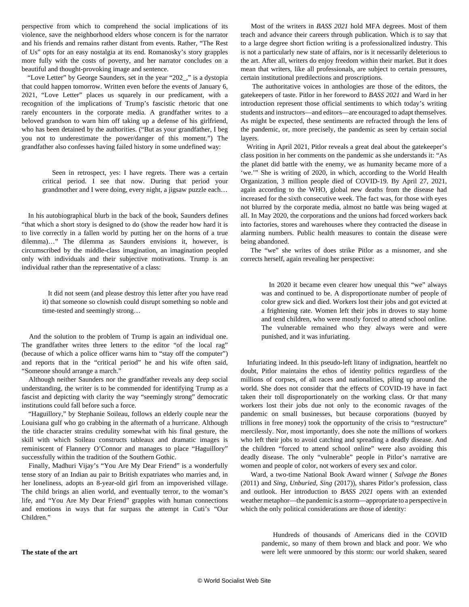perspective from which to comprehend the social implications of its violence, save the neighborhood elders whose concern is for the narrator and his friends and remains rather distant from events. Rather, "The Rest of Us" opts for an easy nostalgia at its end. Romanosky's story grapples more fully with the costs of poverty, and her narrator concludes on a beautiful and thought-provoking image and sentence.

 "Love Letter" by George Saunders, set in the year "202\_," is a dystopia that could happen tomorrow. Written even before the events of January 6, 2021, "Love Letter" places us squarely in our predicament, with a recognition of the implications of Trump's fascistic rhetoric that one rarely encounters in the corporate media. A grandfather writes to a beloved grandson to warn him off taking up a defense of his girlfriend, who has been detained by the authorities. ("But as your grandfather, I beg you not to underestimate the power/danger of this moment.") The grandfather also confesses having failed history in some undefined way:

 Seen in retrospect, yes: I have regrets. There was a certain critical period. I see that now. During that period your grandmother and I were doing, every night, a jigsaw puzzle each…

 In his autobiographical blurb in the back of the book, Saunders defines "that which a short story is designed to do (show the reader how hard it is to live correctly in a fallen world by putting her on the horns of a true dilemma)…" The dilemma as Saunders envisions it, however, is circumscribed by the middle-class imagination, an imagination peopled only with individuals and their subjective motivations. Trump is an individual rather than the representative of a class:

 It did not seem (and please destroy this letter after you have read it) that someone so clownish could disrupt something so noble and time-tested and seemingly strong…

 And the solution to the problem of Trump is again an individual one. The grandfather writes three letters to the editor "of the local rag" (because of which a police officer warns him to "stay off the computer") and reports that in the "critical period" he and his wife often said, "Someone should arrange a march."

 Although neither Saunders nor the grandfather reveals any deep social understanding, the writer is to be commended for identifying Trump as a fascist and depicting with clarity the way "seemingly strong" democratic institutions could fall before such a force.

 "Haguillory," by Stephanie Soileau, follows an elderly couple near the Louisiana gulf who go crabbing in the aftermath of a hurricane. Although the title character strains credulity somewhat with his final gesture, the skill with which Soileau constructs tableaux and dramatic images is reminiscent of Flannery O'Connor and manages to place "Haguillory" successfully within the tradition of the Southern Gothic.

 Finally, Madhuri Vijay's "You Are My Dear Friend" is a wonderfully tense story of an Indian au pair to British expatriates who marries and, in her loneliness, adopts an 8-year-old girl from an impoverished village. The child brings an alien world, and eventually terror, to the woman's life, and "You Are My Dear Friend" grapples with human connections and emotions in ways that far surpass the attempt in Cuti's "Our Children."

 Most of the writers in *BASS 2021* hold MFA degrees. Most of them teach and advance their careers through publication. Which is to say that to a large degree short fiction writing is a professionalized industry. This is not a particularly new state of affairs, nor is it necessarily deleterious to the art. After all, writers do enjoy freedom within their market. But it does mean that writers, like all professionals, are subject to certain pressures, certain institutional predilections and proscriptions.

 The authoritative voices in anthologies are those of the editors, the gatekeepers of taste. Pitlor in her foreword to *BASS 2021* and Ward in her introduction represent those official sentiments to which today's writing students and instructors—and editors—are encouraged to adapt themselves. As might be expected, these sentiments are refracted through the lens of the pandemic, or, more precisely, the pandemic as seen by certain social layers.

 Writing in April 2021, Pitlor reveals a great deal about the gatekeeper's class position in her comments on the pandemic as she understands it: "As the planet did battle with the enemy, we as humanity became more of a 'we.'" She is writing of 2020, in which, according to the World Health Organization, 3 million people died of COVID-19. By April 27, 2021, again according to the WHO, global new deaths from the disease had increased for the sixth consecutive week. The fact was, for those with eyes not blurred by the corporate media, almost no battle was being waged at all. In May 2020, the corporations and the unions had forced workers back into factories, stores and warehouses where they contracted the disease in alarming numbers. Public health measures to contain the disease were being abandoned.

 The "we" she writes of does strike Pitlor as a misnomer, and she corrects herself, again revealing her perspective:

 In 2020 it became even clearer how unequal this "we" always was and continued to be. A disproportionate number of people of color grew sick and died. Workers lost their jobs and got evicted at a frightening rate. Women left their jobs in droves to stay home and tend children, who were mostly forced to attend school online. The vulnerable remained who they always were and were punished, and it was infuriating.

 Infuriating indeed. In this pseudo-left litany of indignation, heartfelt no doubt, Pitlor maintains the ethos of identity politics regardless of the millions of corpses, of all races and nationalities, piling up around the world. She does not consider that the effects of COVID-19 have in fact taken their toll disproportionately on the working class. Or that many workers lost their jobs due not only to the economic ravages of the pandemic on small businesses, but because corporations (buoyed by trillions in free money) took the opportunity of the crisis to "restructure" mercilessly. Nor, most importantly, does she note the millions of workers who left their jobs to avoid catching and spreading a deadly disease. And the children "forced to attend school online" were also avoiding this deadly disease. The only "vulnerable" people in Pitlor's narrative are women and people of color, not workers of every sex and color.

 Ward, a two-time National Book Award winner ( *Salvage the Bones* (2011) and *Sing, Unburied, Sing* (2017)), shares Pitlor's profession, class and outlook. Her introduction to *BASS 2021* opens with an extended weather metaphor—the pandemic is a storm—appropriate to a perspective in which the only political considerations are those of identity:

 Hundreds of thousands of Americans died in the COVID pandemic, so many of them brown and black and poor. We who were left were unmoored by this storm: our world shaken, seared